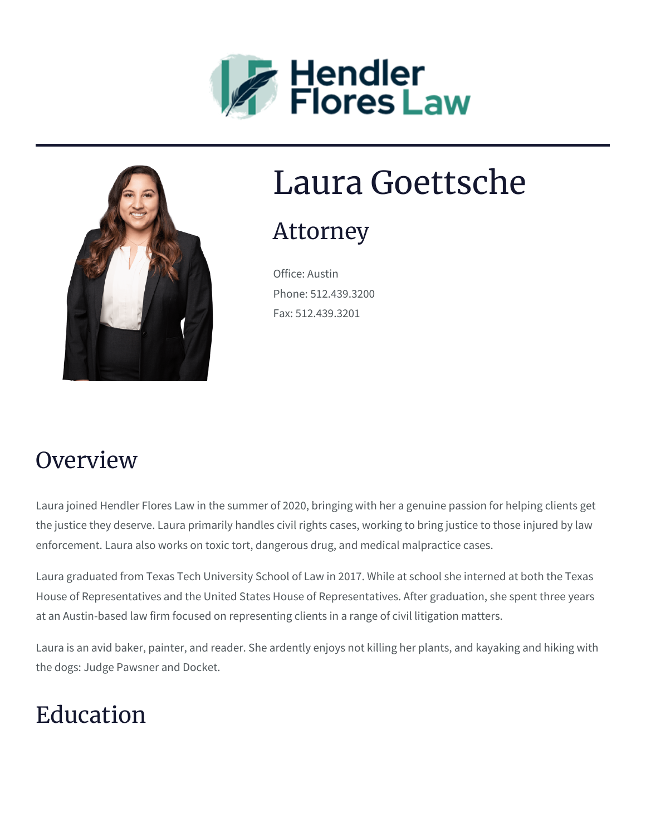



# Laura Goettsche

### Attorney

Office: Austin Phone: 512.439.3200 Fax: 512.439.3201

# **Overview**

Laura joined Hendler Flores Law in the summer of 2020, bringing with her a genuine passion for helping clients get the justice they deserve. Laura primarily handles civil rights cases, working to bring justice to those injured by law enforcement. Laura also works on toxic tort, dangerous drug, and medical malpractice cases.

Laura graduated from Texas Tech University School of Law in 2017. While at school she interned at both the Texas House of Representatives and the United States House of Representatives. After graduation, she spent three years at an Austin-based law firm focused on representing clients in a range of civil litigation matters.

Laura is an avid baker, painter, and reader. She ardently enjoys not killing her plants, and kayaking and hiking with the dogs: Judge Pawsner and Docket.

# Education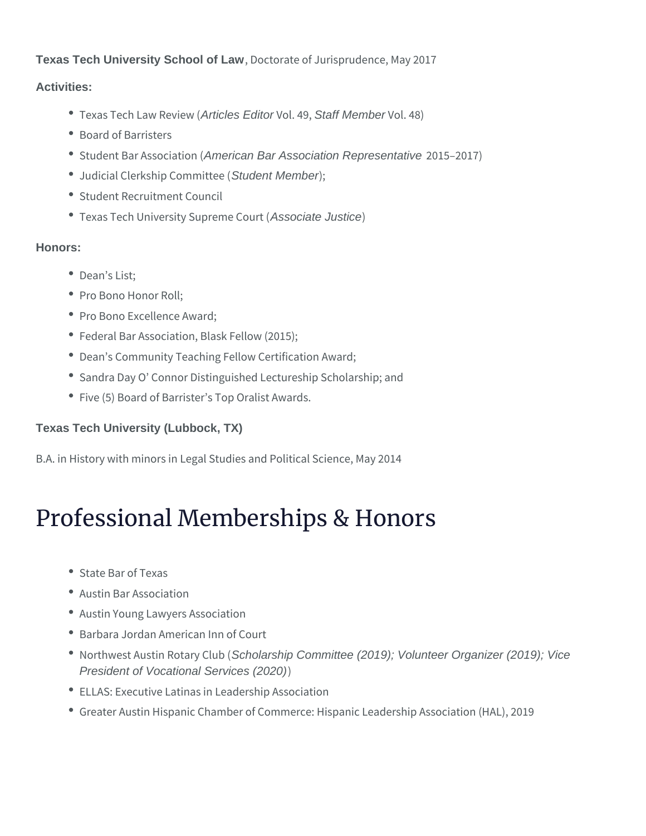#### **Texas Tech University School of Law**, Doctorate of Jurisprudence, May 2017

#### **Activities:**

- Texas Tech Law Review (Articles Editor Vol. 49, Staff Member Vol. 48)
- Board of Barristers
- \* Student Bar Association (American Bar Association Representative 2015-2017)
- Judicial Clerkship Committee (Student Member);
- Student Recruitment Council
- Texas Tech University Supreme Court (Associate Justice)

#### **Honors:**

- Dean's List:
- Pro Bono Honor Roll;
- Pro Bono Excellence Award;
- Federal Bar Association, Blask Fellow (2015);
- Dean's Community Teaching Fellow Certification Award;
- **Sandra Day O' Connor Distinguished Lectureship Scholarship; and**
- Five (5) Board of Barrister's Top Oralist Awards.

#### **Texas Tech University (Lubbock, TX)**

B.A. in History with minors in Legal Studies and Political Science, May 2014

# Professional Memberships & Honors

- State Bar of Texas
- Austin Bar Association
- Austin Young Lawyers Association
- Barbara Jordan American Inn of Court
- Northwest Austin Rotary Club (Scholarship Committee (2019); Volunteer Organizer (2019); Vice President of Vocational Services (2020))
- ELLAS: Executive Latinas in Leadership Association
- Greater Austin Hispanic Chamber of Commerce: Hispanic Leadership Association (HAL), 2019